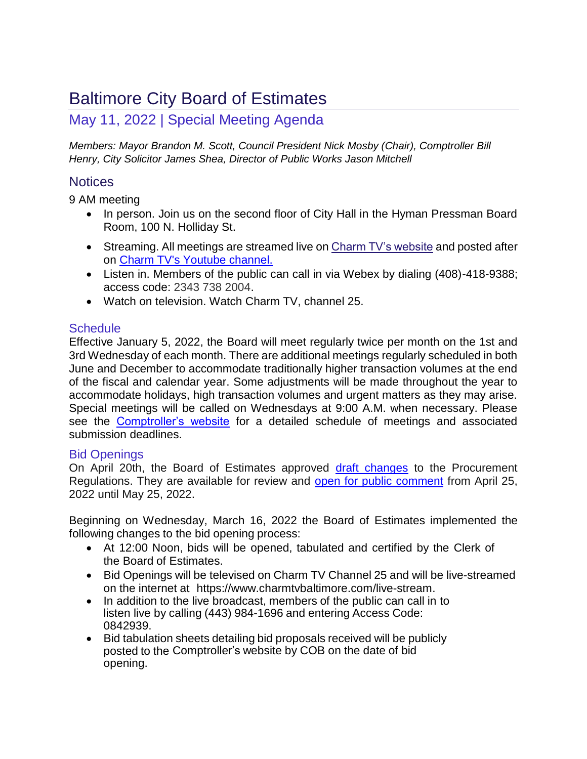# Baltimore City Board of Estimates

## May 11, 2022 | Special Meeting Agenda

*Members: Mayor Brandon M. Scott, Council President Nick Mosby (Chair), Comptroller Bill Henry, City Solicitor James Shea, Director of Public Works Jason Mitchell*

## **Notices**

9 AM meeting

- In person. Join us on the second floor of City Hall in the Hyman Pressman Board Room, 100 N. Holliday St.
- Streaming. All meetings are streamed live o[n Charm TV's website](https://www.charmtvbaltimore.com/live-stream) and posted after on [Charm TV's Youtube channel.](https://www.youtube.com/playlist?list=PLHAa8zfKf5XOE_pQ8bm-ZNc-JscGFhDHE)
- Listen in. Members of the public can call in via Webex by dialing (408)-418-9388; access code: 2343 738 2004.
- Watch on television. Watch Charm TV, channel 25.

## **Schedule**

Effective January 5, 2022, the Board will meet regularly twice per month on the 1st and 3rd Wednesday of each month. There are additional meetings regularly scheduled in both June and December to accommodate traditionally higher transaction volumes at the end of the fiscal and calendar year. Some adjustments will be made throughout the year to accommodate holidays, high transaction volumes and urgent matters as they may arise. Special meetings will be called on Wednesdays at 9:00 A.M. when necessary. Please see the [Comptroller's website](https://comptroller.baltimorecity.gov/boe) for a detailed schedule of meetings and associated submission deadlines.

#### Bid Openings

On April 20th, the Board of Estimates approved [draft changes](https://comptroller.baltimorecity.gov/sites/default/files/Procurement%20Reg%20Draft%20Changes%20for%20Posting.pdf) to the Procurement Regulations. They are available for review and [open for public comment](https://comptroller.baltimorecity.gov/clone-submit-comments-boe-regulations) from April 25, 2022 until May 25, 2022.

Beginning on Wednesday, March 16, 2022 the Board of Estimates implemented the following changes to the bid opening process:

- At 12:00 Noon, bids will be opened, tabulated and certified by the Clerk of the Board of Estimates.
- Bid Openings will be televised on Charm TV Channel 25 and will be live-streamed on the internet at https:[//www.charmtvbaltimore.com/live-stream.](http://www.charmtvbaltimore.com/live-stream)
- In addition to the live broadcast, members of the public can call in to listen live by calling (443) 984-1696 and entering Access Code: 0842939.
- Bid tabulation sheets detailing bid proposals received will be publicly posted to the Comptroller's website by COB on the date of bid opening.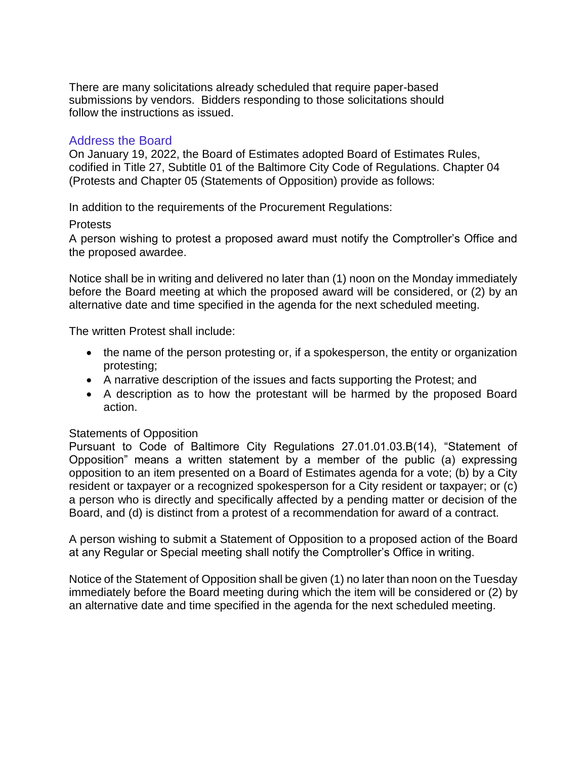There are many solicitations already scheduled that require paper-based submissions by vendors. Bidders responding to those solicitations should follow the instructions as issued.

#### Address the Board

On January 19, 2022, the Board of Estimates adopted Board of Estimates Rules, codified in Title 27, Subtitle 01 of the Baltimore City Code of Regulations. Chapter 04 (Protests and Chapter 05 (Statements of Opposition) provide as follows:

In addition to the requirements of the Procurement Regulations:

#### Protests

A person wishing to protest a proposed award must notify the Comptroller's Office and the proposed awardee.

Notice shall be in writing and delivered no later than (1) noon on the Monday immediately before the Board meeting at which the proposed award will be considered, or (2) by an alternative date and time specified in the agenda for the next scheduled meeting.

The written Protest shall include:

- the name of the person protesting or, if a spokesperson, the entity or organization protesting;
- A narrative description of the issues and facts supporting the Protest; and
- A description as to how the protestant will be harmed by the proposed Board action.

#### Statements of Opposition

Pursuant to Code of Baltimore City Regulations 27.01.01.03.B(14), "Statement of Opposition" means a written statement by a member of the public (a) expressing opposition to an item presented on a Board of Estimates agenda for a vote; (b) by a City resident or taxpayer or a recognized spokesperson for a City resident or taxpayer; or (c) a person who is directly and specifically affected by a pending matter or decision of the Board, and (d) is distinct from a protest of a recommendation for award of a contract.

A person wishing to submit a Statement of Opposition to a proposed action of the Board at any Regular or Special meeting shall notify the Comptroller's Office in writing.

Notice of the Statement of Opposition shall be given (1) no later than noon on the Tuesday immediately before the Board meeting during which the item will be considered or (2) by an alternative date and time specified in the agenda for the next scheduled meeting.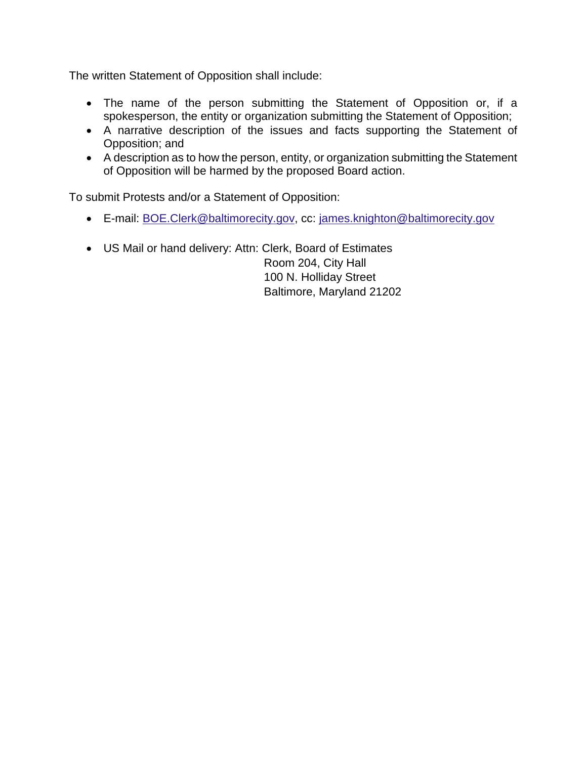The written Statement of Opposition shall include:

- The name of the person submitting the Statement of Opposition or, if a spokesperson, the entity or organization submitting the Statement of Opposition;
- A narrative description of the issues and facts supporting the Statement of Opposition; and
- A description as to how the person, entity, or organization submitting the Statement of Opposition will be harmed by the proposed Board action.

To submit Protests and/or a Statement of Opposition:

- E-mail: [BOE.Clerk@baltimorecity.gov,](mailto:BOE.Clerk@baltimorecity.gov) cc: [james.knighton@baltimorecity.gov](mailto:james.knighton@baltimorecity.gov)
- US Mail or hand delivery: Attn: Clerk, Board of Estimates

 Room 204, City Hall 100 N. Holliday Street Baltimore, Maryland 21202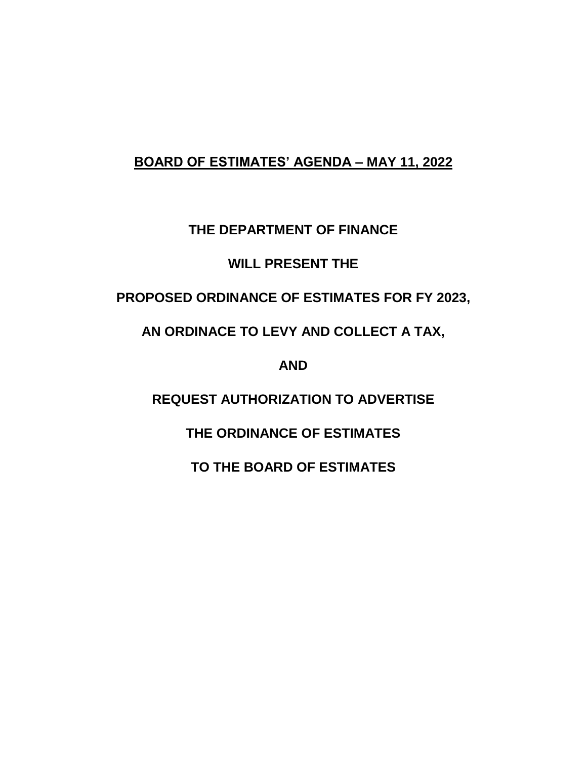## **BOARD OF ESTIMATES' AGENDA – MAY 11, 2022**

## **THE DEPARTMENT OF FINANCE**

## **WILL PRESENT THE**

## **PROPOSED ORDINANCE OF ESTIMATES FOR FY 2023,**

## **AN ORDINACE TO LEVY AND COLLECT A TAX,**

**AND**

**REQUEST AUTHORIZATION TO ADVERTISE**

## **THE ORDINANCE OF ESTIMATES**

**TO THE BOARD OF ESTIMATES**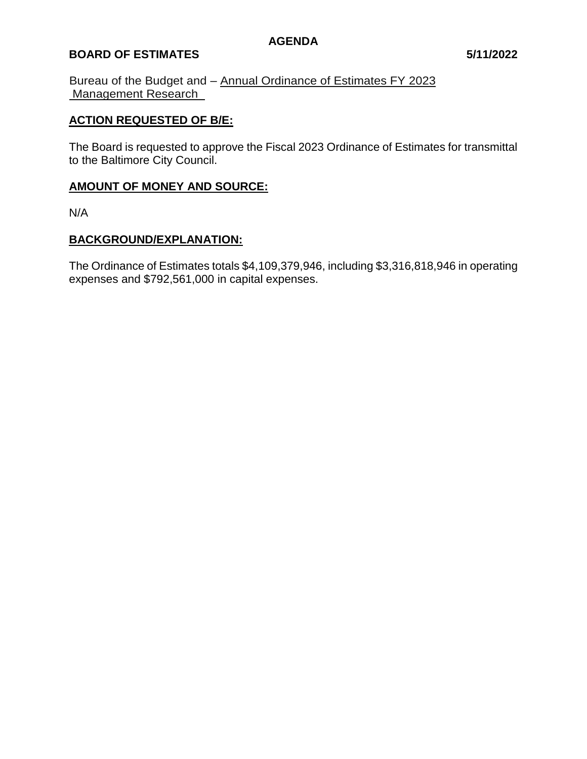#### **BOARD OF ESTIMATES 5/11/2022**

Bureau of the Budget and – Annual Ordinance of Estimates FY 2023 Management Research\_

#### **ACTION REQUESTED OF B/E:**

The Board is requested to approve the Fiscal 2023 Ordinance of Estimates for transmittal to the Baltimore City Council.

### **AMOUNT OF MONEY AND SOURCE:**

N/A

#### **BACKGROUND/EXPLANATION:**

The Ordinance of Estimates totals \$4,109,379,946, including \$3,316,818,946 in operating expenses and \$792,561,000 in capital expenses.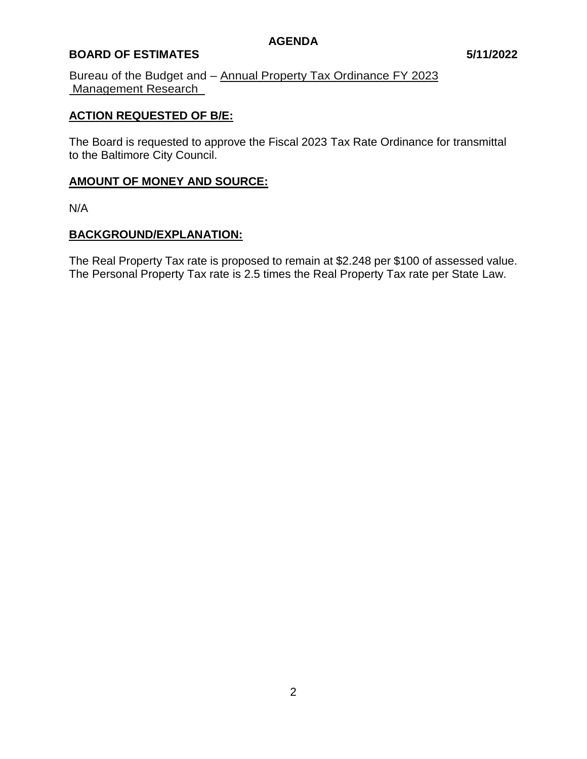### **BOARD OF ESTIMATES 5/11/2022**

Bureau of the Budget and – Annual Property Tax Ordinance FY 2023 Management Research\_

#### **ACTION REQUESTED OF B/E:**

The Board is requested to approve the Fiscal 2023 Tax Rate Ordinance for transmittal to the Baltimore City Council.

## **AMOUNT OF MONEY AND SOURCE:**

N/A

#### **BACKGROUND/EXPLANATION:**

The Real Property Tax rate is proposed to remain at \$2.248 per \$100 of assessed value. The Personal Property Tax rate is 2.5 times the Real Property Tax rate per State Law.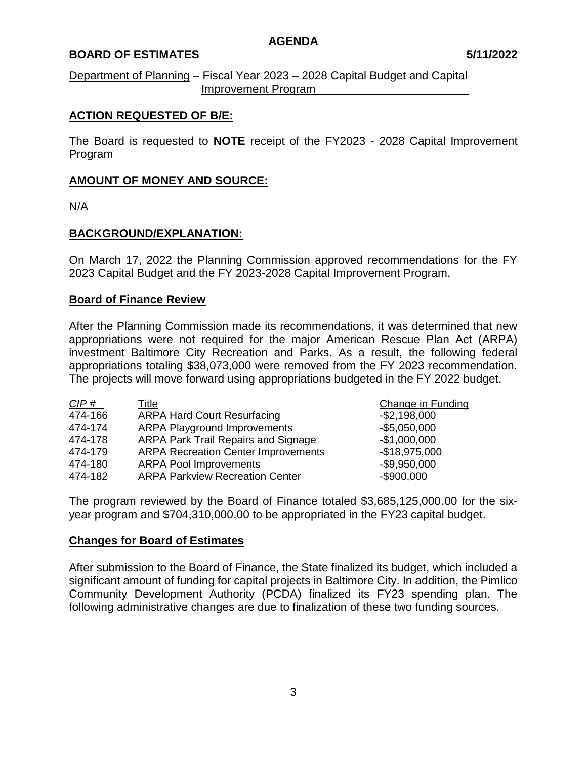#### **BOARD OF ESTIMATES 5/11/2022**

Department of Planning – Fiscal Year 2023 – 2028 Capital Budget and Capital Improvement Program\_\_\_\_\_\_\_\_\_\_\_\_\_\_\_\_\_\_\_\_\_\_\_\_

#### **ACTION REQUESTED OF B/E:**

The Board is requested to **NOTE** receipt of the FY2023 - 2028 Capital Improvement Program

#### **AMOUNT OF MONEY AND SOURCE:**

N/A

#### **BACKGROUND/EXPLANATION:**

On March 17, 2022 the Planning Commission approved recommendations for the FY 2023 Capital Budget and the FY 2023-2028 Capital Improvement Program.

#### **Board of Finance Review**

After the Planning Commission made its recommendations, it was determined that new appropriations were not required for the major American Rescue Plan Act (ARPA) investment Baltimore City Recreation and Parks. As a result, the following federal appropriations totaling \$38,073,000 were removed from the FY 2023 recommendation. The projects will move forward using appropriations budgeted in the FY 2022 budget.

| CIP#    | Title                                      | <b>Change in Funding</b> |
|---------|--------------------------------------------|--------------------------|
| 474-166 | <b>ARPA Hard Court Resurfacing</b>         | $-$ \$2,198,000          |
| 474-174 | <b>ARPA Playground Improvements</b>        | $-$ \$5,050,000          |
| 474-178 | ARPA Park Trail Repairs and Signage        | $-$1,000,000$            |
| 474-179 | <b>ARPA Recreation Center Improvements</b> | $-$18,975,000$           |
| 474-180 | <b>ARPA Pool Improvements</b>              | $-$9,950,000$            |
| 474-182 | <b>ARPA Parkview Recreation Center</b>     | $-$900,000$              |

The program reviewed by the Board of Finance totaled \$3,685,125,000.00 for the sixyear program and \$704,310,000.00 to be appropriated in the FY23 capital budget.

#### **Changes for Board of Estimates**

After submission to the Board of Finance, the State finalized its budget, which included a significant amount of funding for capital projects in Baltimore City. In addition, the Pimlico Community Development Authority (PCDA) finalized its FY23 spending plan. The following administrative changes are due to finalization of these two funding sources.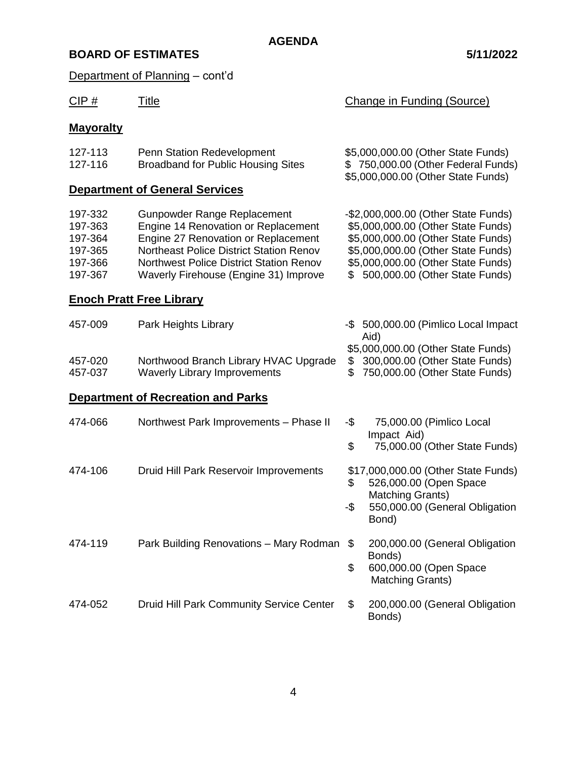Department of Planning - cont'd

| CIP#                                                           | <b>Title</b>                                                                                                                                                                                                                                           | <b>Change in Funding (Source)</b>                                                                              |                                                                                                                                                                                                                               |  |  |
|----------------------------------------------------------------|--------------------------------------------------------------------------------------------------------------------------------------------------------------------------------------------------------------------------------------------------------|----------------------------------------------------------------------------------------------------------------|-------------------------------------------------------------------------------------------------------------------------------------------------------------------------------------------------------------------------------|--|--|
| <b>Mayoralty</b>                                               |                                                                                                                                                                                                                                                        |                                                                                                                |                                                                                                                                                                                                                               |  |  |
| 127-113<br>127-116                                             | Penn Station Redevelopment<br><b>Broadband for Public Housing Sites</b>                                                                                                                                                                                | \$5,000,000.00 (Other State Funds)<br>\$750,000.00 (Other Federal Funds)<br>\$5,000,000.00 (Other State Funds) |                                                                                                                                                                                                                               |  |  |
|                                                                | <b>Department of General Services</b>                                                                                                                                                                                                                  |                                                                                                                |                                                                                                                                                                                                                               |  |  |
| 197-332<br>197-363<br>197-364<br>197-365<br>197-366<br>197-367 | Gunpowder Range Replacement<br>Engine 14 Renovation or Replacement<br>Engine 27 Renovation or Replacement<br><b>Northeast Police District Station Renov</b><br><b>Northwest Police District Station Renov</b><br>Waverly Firehouse (Engine 31) Improve | SS.                                                                                                            | -\$2,000,000.00 (Other State Funds)<br>\$5,000,000.00 (Other State Funds)<br>\$5,000,000.00 (Other State Funds)<br>\$5,000,000.00 (Other State Funds)<br>\$5,000,000.00 (Other State Funds)<br>500,000.00 (Other State Funds) |  |  |
|                                                                | <b>Enoch Pratt Free Library</b>                                                                                                                                                                                                                        |                                                                                                                |                                                                                                                                                                                                                               |  |  |
| 457-009                                                        | Park Heights Library                                                                                                                                                                                                                                   |                                                                                                                | -\$ 500,000.00 (Pimlico Local Impact<br>Aid)                                                                                                                                                                                  |  |  |
| 457-020<br>457-037                                             | Northwood Branch Library HVAC Upgrade<br><b>Waverly Library Improvements</b>                                                                                                                                                                           | \$<br>\$                                                                                                       | \$5,000,000.00 (Other State Funds)<br>300,000.00 (Other State Funds)<br>750,000.00 (Other State Funds)                                                                                                                        |  |  |
|                                                                | <b>Department of Recreation and Parks</b>                                                                                                                                                                                                              |                                                                                                                |                                                                                                                                                                                                                               |  |  |
| 474-066                                                        | Northwest Park Improvements - Phase II                                                                                                                                                                                                                 | -\$<br>\$                                                                                                      | 75,000.00 (Pimlico Local<br>Impact Aid)<br>75,000.00 (Other State Funds)                                                                                                                                                      |  |  |
| 474-106                                                        | Druid Hill Park Reservoir Improvements                                                                                                                                                                                                                 | \$<br>-\$                                                                                                      | \$17,000,000.00 (Other State Funds)<br>526,000.00 (Open Space<br><b>Matching Grants)</b><br>550,000.00 (General Obligation<br>Bond)                                                                                           |  |  |
| 474-119                                                        | Park Building Renovations - Mary Rodman                                                                                                                                                                                                                | \$<br>\$                                                                                                       | 200,000.00 (General Obligation<br>Bonds)<br>600,000.00 (Open Space<br>Matching Grants)                                                                                                                                        |  |  |
| 474-052                                                        | Druid Hill Park Community Service Center                                                                                                                                                                                                               | \$                                                                                                             | 200,000.00 (General Obligation<br>Bonds)                                                                                                                                                                                      |  |  |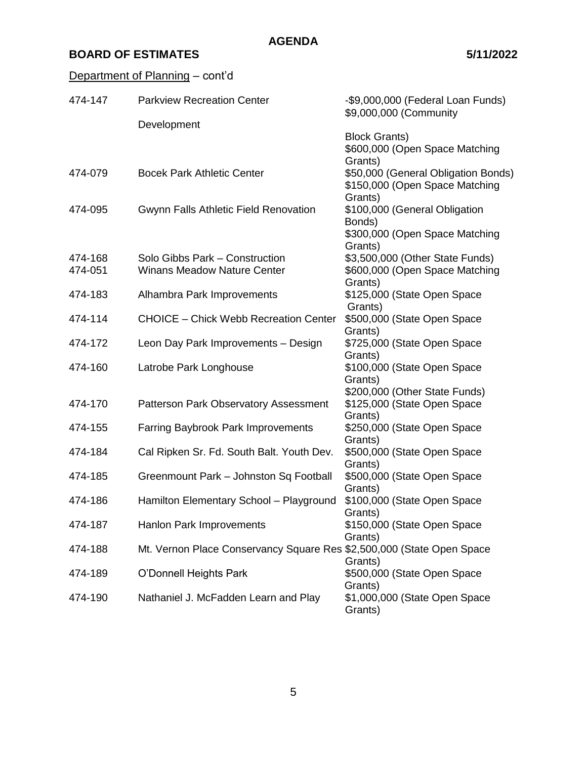## Department of Planning - cont'd

| 474-147 | <b>Parkview Recreation Center</b>                                     | -\$9,000,000 (Federal Loan Funds)<br>\$9,000,000 (Community |
|---------|-----------------------------------------------------------------------|-------------------------------------------------------------|
|         | Development                                                           |                                                             |
|         |                                                                       | <b>Block Grants)</b>                                        |
|         |                                                                       | \$600,000 (Open Space Matching                              |
|         |                                                                       | Grants)                                                     |
| 474-079 | <b>Bocek Park Athletic Center</b>                                     | \$50,000 (General Obligation Bonds)                         |
|         |                                                                       | \$150,000 (Open Space Matching                              |
|         |                                                                       | Grants)                                                     |
| 474-095 | Gwynn Falls Athletic Field Renovation                                 | \$100,000 (General Obligation                               |
|         |                                                                       | Bonds)                                                      |
|         |                                                                       | \$300,000 (Open Space Matching                              |
|         |                                                                       | Grants)                                                     |
| 474-168 | Solo Gibbs Park - Construction                                        | \$3,500,000 (Other State Funds)                             |
| 474-051 | Winans Meadow Nature Center                                           | \$600,000 (Open Space Matching                              |
|         |                                                                       | Grants)                                                     |
| 474-183 | Alhambra Park Improvements                                            | \$125,000 (State Open Space                                 |
|         |                                                                       | Grants)                                                     |
| 474-114 | <b>CHOICE</b> – Chick Webb Recreation Center                          | \$500,000 (State Open Space                                 |
|         |                                                                       | Grants)                                                     |
| 474-172 | Leon Day Park Improvements - Design                                   | \$725,000 (State Open Space                                 |
|         |                                                                       | Grants)                                                     |
| 474-160 | Latrobe Park Longhouse                                                | \$100,000 (State Open Space                                 |
|         |                                                                       | Grants)                                                     |
|         |                                                                       | \$200,000 (Other State Funds)                               |
| 474-170 | Patterson Park Observatory Assessment                                 | \$125,000 (State Open Space                                 |
|         |                                                                       | Grants)                                                     |
| 474-155 | <b>Farring Baybrook Park Improvements</b>                             | \$250,000 (State Open Space                                 |
|         |                                                                       | Grants)                                                     |
| 474-184 | Cal Ripken Sr. Fd. South Balt. Youth Dev.                             | \$500,000 (State Open Space                                 |
|         |                                                                       | Grants)                                                     |
| 474-185 | Greenmount Park - Johnston Sq Football                                | \$500,000 (State Open Space                                 |
|         |                                                                       | Grants)                                                     |
| 474-186 | Hamilton Elementary School - Playground                               | \$100,000 (State Open Space                                 |
|         |                                                                       | Grants)                                                     |
| 474-187 | Hanlon Park Improvements                                              | \$150,000 (State Open Space                                 |
|         |                                                                       | Grants)                                                     |
| 474-188 | Mt. Vernon Place Conservancy Square Res \$2,500,000 (State Open Space |                                                             |
|         |                                                                       | Grants)                                                     |
| 474-189 | O'Donnell Heights Park                                                | \$500,000 (State Open Space                                 |
| 474-190 | Nathaniel J. McFadden Learn and Play                                  | Grants)<br>\$1,000,000 (State Open Space                    |
|         |                                                                       | Grants)                                                     |
|         |                                                                       |                                                             |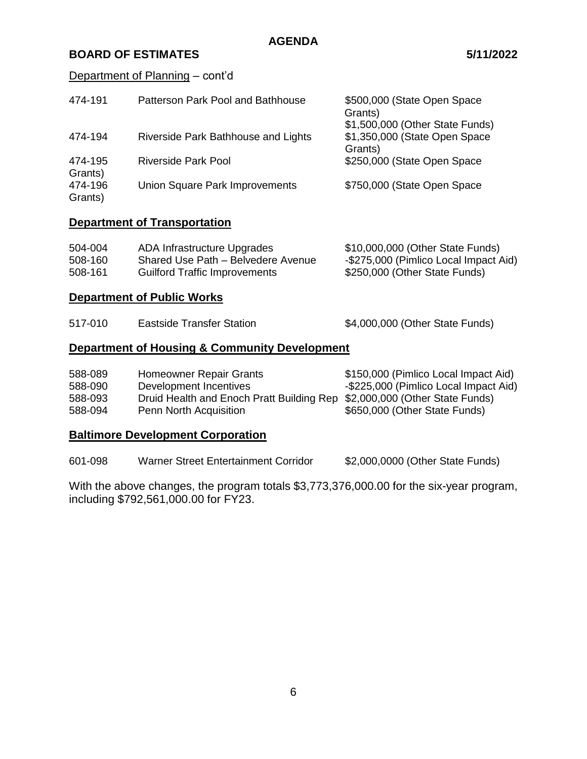#### Department of Planning – cont'd

| 474-191            | Patterson Park Pool and Bathhouse   | \$500,000 (State Open Space<br>Grants)<br>\$1,500,000 (Other State Funds) |
|--------------------|-------------------------------------|---------------------------------------------------------------------------|
| 474-194            | Riverside Park Bathhouse and Lights | \$1,350,000 (State Open Space<br>Grants)                                  |
| 474-195<br>Grants) | Riverside Park Pool                 | \$250,000 (State Open Space                                               |
| 474-196<br>Grants) | Union Square Park Improvements      | \$750,000 (State Open Space                                               |

### **Department of Transportation**

| 504-004 | ADA Infrastructure Upgrades          | \$10,000,000 (Other State Funds)      |
|---------|--------------------------------------|---------------------------------------|
| 508-160 | Shared Use Path – Belvedere Avenue   | -\$275,000 (Pimlico Local Impact Aid) |
| 508-161 | <b>Guilford Traffic Improvements</b> | \$250,000 (Other State Funds)         |

#### **Department of Public Works**

| 517-010<br><b>Eastside Transfer Station</b> | \$4,000,000 (Other State Funds) |
|---------------------------------------------|---------------------------------|
|---------------------------------------------|---------------------------------|

## **Department of Housing & Community Development**

| 588-089<br>588-090<br>588-093 | <b>Homeowner Repair Grants</b><br>Development Incentives<br>Druid Health and Enoch Pratt Building Rep \$2,000,000 (Other State Funds) | \$150,000 (Pimlico Local Impact Aid)<br>-\$225,000 (Pimlico Local Impact Aid) |
|-------------------------------|---------------------------------------------------------------------------------------------------------------------------------------|-------------------------------------------------------------------------------|
| 588-094                       | Penn North Acquisition                                                                                                                | \$650,000 (Other State Funds)                                                 |

## **Baltimore Development Corporation**

| 601-098 | Warner Street Entertainment Corridor | \$2,000,0000 (Other State Funds) |  |
|---------|--------------------------------------|----------------------------------|--|
|---------|--------------------------------------|----------------------------------|--|

With the above changes, the program totals \$3,773,376,000.00 for the six-year program, including \$792,561,000.00 for FY23.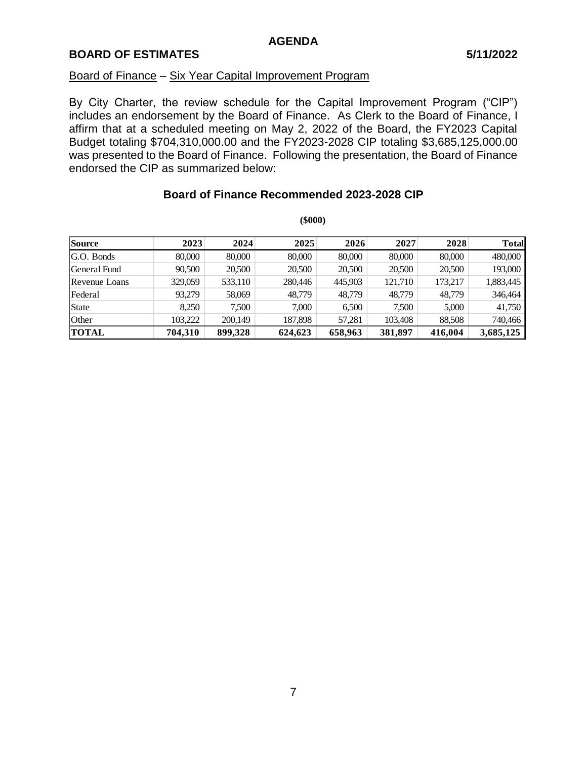#### Board of Finance – Six Year Capital Improvement Program

By City Charter, the review schedule for the Capital Improvement Program ("CIP") includes an endorsement by the Board of Finance. As Clerk to the Board of Finance, I affirm that at a scheduled meeting on May 2, 2022 of the Board, the FY2023 Capital Budget totaling \$704,310,000.00 and the FY2023-2028 CIP totaling \$3,685,125,000.00 was presented to the Board of Finance. Following the presentation, the Board of Finance endorsed the CIP as summarized below:

|               |         |         | $(\$000)$ |         |         |         |              |
|---------------|---------|---------|-----------|---------|---------|---------|--------------|
| <b>Source</b> | 2023    | 2024    | 2025      | 2026    | 2027    | 2028    | <b>Total</b> |
| G.O. Bonds    | 80,000  | 80,000  | 80,000    | 80,000  | 80,000  | 80,000  | 480,000      |
| General Fund  | 90.500  | 20,500  | 20,500    | 20,500  | 20,500  | 20,500  | 193,000      |
| Revenue Loans | 329,059 | 533,110 | 280,446   | 445.903 | 121.710 | 173,217 | 1,883,445    |
| Federal       | 93.279  | 58,069  | 48,779    | 48,779  | 48,779  | 48,779  | 346,464      |
| <b>State</b>  | 8,250   | 7,500   | 7,000     | 6,500   | 7,500   | 5,000   | 41,750       |
|               |         |         |           |         |         |         |              |

Other 103,222 200,149 187,898 57,281 103,408 88,508 740,466 **TOTAL 704,310 899,328 624,623 658,963 381,897 416,004 3,685,125**

### **Board of Finance Recommended 2023-2028 CIP**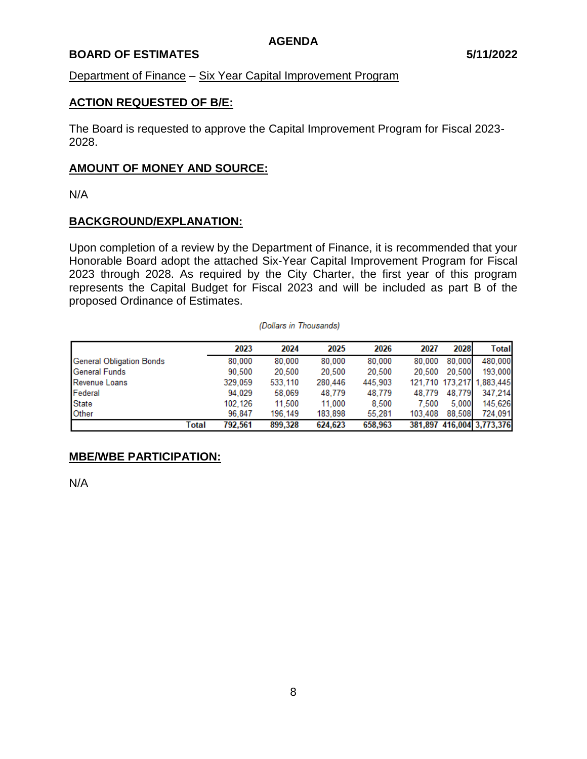#### **BOARD OF ESTIMATES 5/11/2022**

Department of Finance – Six Year Capital Improvement Program

#### **ACTION REQUESTED OF B/E:**

The Board is requested to approve the Capital Improvement Program for Fiscal 2023- 2028.

#### **AMOUNT OF MONEY AND SOURCE:**

N/A

#### **BACKGROUND/EXPLANATION:**

Upon completion of a review by the Department of Finance, it is recommended that your Honorable Board adopt the attached Six-Year Capital Improvement Program for Fiscal 2023 through 2028. As required by the City Charter, the first year of this program represents the Capital Budget for Fiscal 2023 and will be included as part B of the proposed Ordinance of Estimates.

#### (Dollars in Thousands)

|                                 |       | 2023    | 2024    | 2025    | 2026    | 2027    | 2028   | Total                     |
|---------------------------------|-------|---------|---------|---------|---------|---------|--------|---------------------------|
| <b>General Obligation Bonds</b> |       | 80,000  | 80,000  | 80,000  | 80,000  | 80,000  | 80.000 | 480,000                   |
| <b>General Funds</b>            |       | 90.500  | 20.500  | 20,500  | 20,500  | 20.500  | 20.500 | 193,000                   |
| Revenue Loans                   |       | 329,059 | 533,110 | 280.446 | 445,903 |         |        | 121.710 173.217 1.883.445 |
| Federal                         |       | 94,029  | 58,069  | 48,779  | 48,779  | 48.779  | 48.779 | 347.214                   |
| State                           |       | 102,126 | 11.500  | 11.000  | 8.500   | 7.500   | 5.000  | 145,626                   |
| Other                           |       | 96.847  | 196.149 | 183.898 | 55.281  | 103.408 | 88,508 | 724.091                   |
|                                 | Total | 792.561 | 899.328 | 624.623 | 658.963 |         |        | 381,897 416,004 3,773,376 |

## **MBE/WBE PARTICIPATION:**

N/A